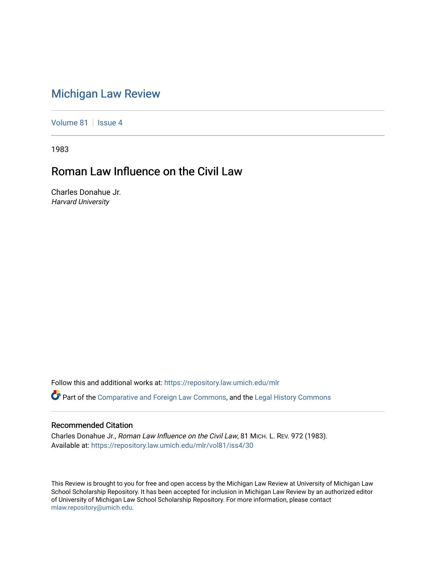# [Michigan Law Review](https://repository.law.umich.edu/mlr)

[Volume 81](https://repository.law.umich.edu/mlr/vol81) | [Issue 4](https://repository.law.umich.edu/mlr/vol81/iss4)

1983

## Roman Law Influence on the Civil Law

Charles Donahue Jr. Harvard University

Follow this and additional works at: [https://repository.law.umich.edu/mlr](https://repository.law.umich.edu/mlr?utm_source=repository.law.umich.edu%2Fmlr%2Fvol81%2Fiss4%2F30&utm_medium=PDF&utm_campaign=PDFCoverPages) 

Part of the [Comparative and Foreign Law Commons,](http://network.bepress.com/hgg/discipline/836?utm_source=repository.law.umich.edu%2Fmlr%2Fvol81%2Fiss4%2F30&utm_medium=PDF&utm_campaign=PDFCoverPages) and the [Legal History Commons](http://network.bepress.com/hgg/discipline/904?utm_source=repository.law.umich.edu%2Fmlr%2Fvol81%2Fiss4%2F30&utm_medium=PDF&utm_campaign=PDFCoverPages) 

### Recommended Citation

Charles Donahue Jr., Roman Law Influence on the Civil Law, 81 MICH. L. REV. 972 (1983). Available at: [https://repository.law.umich.edu/mlr/vol81/iss4/30](https://repository.law.umich.edu/mlr/vol81/iss4/30?utm_source=repository.law.umich.edu%2Fmlr%2Fvol81%2Fiss4%2F30&utm_medium=PDF&utm_campaign=PDFCoverPages) 

This Review is brought to you for free and open access by the Michigan Law Review at University of Michigan Law School Scholarship Repository. It has been accepted for inclusion in Michigan Law Review by an authorized editor of University of Michigan Law School Scholarship Repository. For more information, please contact [mlaw.repository@umich.edu.](mailto:mlaw.repository@umich.edu)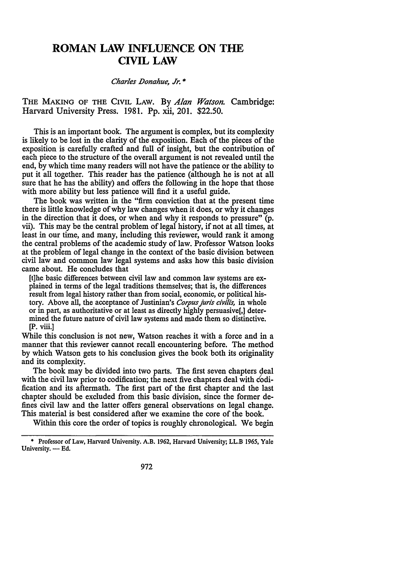## **ROMAN LAW INFLUENCE ON THE CIVIL LAW**

#### *Charles Donahue, Jr.* \*

### THE MAKING OF THE CIVIL LAW. By *Alan Watson.* Cambridge: Harvard University Press. 1981. Pp. xii, 201. \$22.50.

This is an important book. The argument is complex, but its complexity is likely to be lost in the clarity of the exposition. Each of the pieces of the exposition is carefully crafted and full of insight, but the contribution of each piece to the structure of the overall argument is not revealed until the end, by which time many readers will not have the patience or the ability to put it all together. This reader has the patience (although he is not at all sure that he has the ability) and offers the following in the hope that those with more ability but less patience will find it a useful guide.

The book was written in the "firm conviction that at the present time there is little knowledge of why law changes when it does, or why it changes in the direction that it does, or when and why it responds to pressure" (p. vii). This may be the central problem of legal history, if not at all times, at least in our time, and many, including this reviewer, would rank it among the central problems of the academic study oflaw. Professor Watson looks at the problem of legal change in the context of the basic division between civil law and common law legal systems and asks how this basic division came about. He concludes that

Itlhe basic differences between civil law and common law systems are explained in terms of the legal traditions themselves; that is, the differences result from legal history rather than from social, economic, or political history. Above all, the acceptance of Justinian's *Corpus juris civilis*, in whole or in part, as authoritative or at least as directly highly persuasive[,] determined the future nature of civil law systems and made them so distinctive. [P. viii.]

While this conclusion is not new, Watson reaches it with a force and in a manner that this reviewer cannot recall encountering before. The method by which Watson gets to his conclusion gives the book both its originality and its complexity.

The book may be divided into two parts. The first seven chapters deal with the civil law prior to codification; the next five chapters deal with codification and its aftermath. The first part of the first chapter and the last chapter should be excluded from this basic division, since the former defines civil law and the latter offers general observations on legal change. This material is best considered after we examine the core of the book.

Within this core the order of topics is roughly chronological. We begin

<sup>•</sup> Professor of Law, Harvard University. A.B. 1962, Harvard University; LL.B 1965, Yale University. - Ed.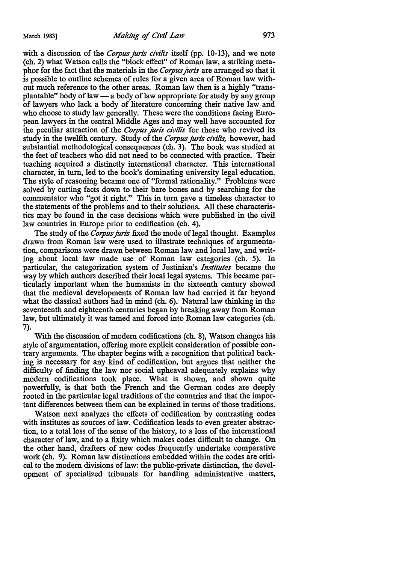with a discussion of the *Corpus juris civilis* itself (pp. 10-13), and we note (ch. 2) what Watson calls the "block effect" of Roman law, a striking metaphor for the fact that the materials in the *Copus juris* are arranged so that it is possible to outline schemes of rules for a given area of Roman law without much reference to the other areas. Roman law then is a highly "transplantable" body of law  $-a$  body of law appropriate for study by any group of lawyers who lack a body of literature concerning their native law and who choose to study law generally. These were the conditions facing European lawyers in the central Middle Ages and may well have accounted for the peculiar attraction of the *Copus juris civilis* for those who revived its study in the twelfth century. Study of the *Copus juris civilis,* however, had substantial methodological consequences (ch. 3). The book was studied at the feet of teachers who did not need to be connected with practice. Their teaching acquired a distinctly international character. This international character, in tum, led to the book's dominating university legal education. The style of reasoning became one of "formal rationality." Problems were solved by cutting facts down to their bare bones and by searching for the commentator who "got it right." This in tum gave a timeless character to the statements of the problems and to their solutions. All these characteristics may be found in the case decisions which were published in the civil law countries in Europe prior to codification (ch. 4).

The study of the *Copus juris* fixed the mode of legal thought. Examples drawn from Roman law were used to illustrate techniques of argumentation, comparisons were drawn between Roman law and local law, and writing about local law made use of Roman law categories (ch. 5). In particular, the categorization system of Justinian's *Institutes* became the way by which authors described their local legal systems. This became particularly important when the humanists in the sixteenth century showed that the medieval developments of Roman law had carried it far beyond what the classical authors had in mind (ch. 6). Natural law thinking in the seventeenth and eighteenth centuries began by breaking away from Roman law, but ultimately it was tamed and forced into Roman law categories (ch. 7).

With the discussion of modern codifications (ch. 8), Watson changes his style of argumentation, offering more explicit consideration of possible contrary arguments. The chapter begins with a recognition that political backing is necessary for any kind of codification, but argues that neither the difficulty of finding the law nor social upheaval adequately explains why modem codifications took place. What is shown, and shown quite powerfully, is that both the French and the German codes are deeply rooted in the particular legal traditions of the countries and that the important differences between them can be explained in terms of those traditions.

Watson next analyzes the effects of codification by contrasting codes with institutes as sources of law. Codification leads to even greater abstraction, to a total loss of the sense of the history, to a loss of the international character of law, and to a fixity which makes codes difficult to change. On the other hand, drafters of new codes frequently undertake comparative work (ch. 9). Roman law distinctions embedded within the codes are critical to the modem divisions oflaw: the public-private distinction, the development of specialized tribunals for handling administrative matters,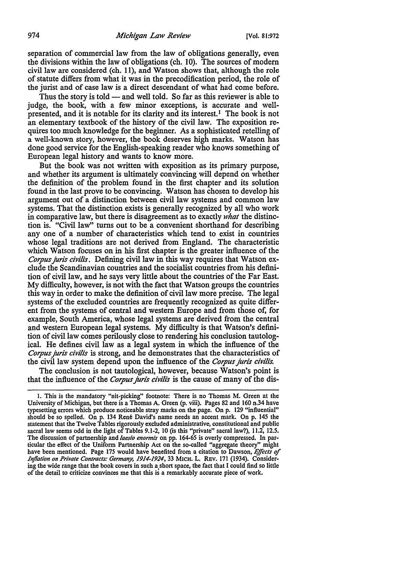separation of commercial law from the law of obligations generally, even the divisions within the law of obligations ( ch. 10). The sources of modem civil law are considered (ch. 11), and Watson shows that, although the role of statute differs from what it was in the precodification period, the role of the jurist and of case law is a direct descendant of what had come before.

Thus the story is told  $-$  and well told. So far as this reviewer is able to judge, the book, with a few minor exceptions, is accurate and wellpresented, and it is notable for its clarity and its interest.<sup>1</sup> The book is not an elementary textbook of the history of the civil law. The exposition requires too much knowledge for the beginner. As a sophisticated retelling of a well-known story, however, the book deserves high marks. Watson has done good service for the English-speaking reader who knows something of European legal history and wants to know more.

But the book was not written with exposition as its primary purpose, and whether its argument is ultimately convincing will depend on whether the definition of the problem found in the first chapter and its solution found in the last prove to be convincing. Watson has chosen to develop his argument out of a distinction between civil law systems and common law systems. That the distinction exists is generally recognized by all who work in comparative law, but there is disagreement as to exactly *what* the distinction is. "Civil law" turns out to be a convenient shorthand for describing any one of a number of characteristics which tend to exist in countries whose legal traditions are not derived from England. The characteristic which Watson focuses on in his first chapter is the greater influence of the *Corpusjuris civilis.* Defining civil law in this way requires that Watson exclude the Scandinavian countries and the socialist countries from his definition of civil law, and he says very little about the countries of the Far East. My difficulty, however, is not with the fact that Watson groups the countries this way in order to make the definition of civil law more precise. The legal systems of the excluded countries are frequently recognized as quite different from the systems of central and western Europe and from those of, for example, South America, whose legal systems are derived from the central and western European legal systems. My difficulty is that Watson's definition of civil law comes perilously close to rendering his conclusion tautological. He defines civil law as a legal system in which the influence of the *Corpus juris civilis* is strong, and he demonstrates that the characteristics of the civil law system depend upon the influence of the *Corpus Juris civilis.* 

The conclusion is not tautological, however, because Watson's point is that the influence of the *Corpus juris civilis* is the cause of many of the dis-

I. This is the mandatory "nit-picking" footnote: There is no Thomas M. Green at the University of Michigan, but there is a Thomas A. Green (p. viii). Pages 82 and 160 n.34 have typesetting errors which produce noticeable stray marks on the page. On p. 129 "influential" should be so spelled. On p. 134 René David's name needs an accent mark. On p. 145 the statement that the Twelve Tables rigorously excluded administrative, constitutional and public sacral law seems odd in the light of Tables 9.1-2, IO (is this "private" sacral law?), 11.2, 12.5, The discussion of partnership and */aesio enormis* on pp. 164-65 is overly compressed. In particular the effect of the Uniform Partnership Act on the so-called "aggregate theory" might have been mentioned. Page 175 would have benefited from a citation to Dawson, *Effects of Inflation on Private Contracts: Germany, 1914-1924*, 33 MICH. L. REV. 171 (1934). Considering the wide range that the book covers in such a short space, the fact that I could find so little of the detail to criticize convinces me that this is a remarkably accurate piece of work.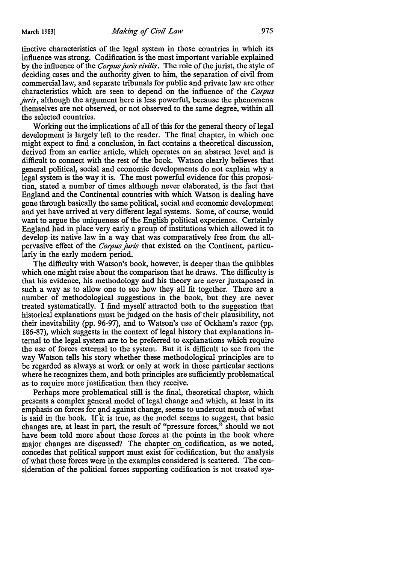tinctive characteristics of the legal system in those countries in which its influence was strong. Codification is the most important variable explained by the influence of the *Corpus Juris civilis.* The role of the jurist, the style of deciding cases and the authority given to him, the separation of civil from commercial law, and separate tribunals for public and private law are other characteristics which are seen to depend on the influence of the *Corpus juris*, although the argument here is less powerful, because the phenomena themselves are not observed, or not observed to the same degree, within all the selected countries.

Working out the implications of all of this for the general theory of legal development is largely left to the reader. The final chapter, in which one might expect to find a conclusion, in fact contains a theoretical discussion, derived from an earlier article, which operates on an abstract level and is difficult to connect with the rest of the book. Watson clearly believes that general political, social and economic developments do not explain why a legal system is the way it is. The most powerful evidence for this proposition, stated a number of times although never elaborated, is the fact that England and the Continental countries with which Watson is dealing have gone through basically the same political, social and economic development and yet have arrived at very different legal systems. Some, of course, would want to argue the uniqueness of the English political experience. Certainly England had in place very early a group of institutions which allowed it to develop its native law in a way that was comparatively free from the allpervasive effect of the *Corpus Juris* that existed on the Continent, particularly in the early modem period.

The difficulty with Watson's book, however, is deeper than the quibbles which one might raise about the comparison that he draws. The difficulty is that his evidence, his methodology and his theory are never juxtaposed in such a way as to allow one to see how they all fit together. There are a number of methodological suggestions in the book, but they are never treated systematically. I find myself attracted both to the suggestion that historical explanations must be judged on the basis of their plausibility, not their inevitability (pp. 96-97), and to Watson's use of Ockham's razor (pp. 186-87), which suggests in the context of legal history that explanations internal to the legal system are to be preferred to explanations which require the use of forces external to the system. But it is difficult to see from the way Watson tells his story whether these methodological principles are to be regarded as always at work or only at work in those particular sections where he recognizes them, and both principles are sufficiently problematical as to require more justification than they receive.

Perhaps more problematical still is the final, theoretical chapter, which presents a complex general model of legal change and which, at least in its emphasis on forces for and against change, seems to undercut much of what is said in the book. If it is true, as the model seems to suggest, that basic changes are, at least in part, the result of "pressure forces," should we not have been told more about those forces at the points in the book where major changes are discussed? The chapter on codification, as we noted, concedes that political support must exist for codification, but the analysis of what those forces were in the examples considered is scattered. The consideration of the political forces supporting codification is not treated sys